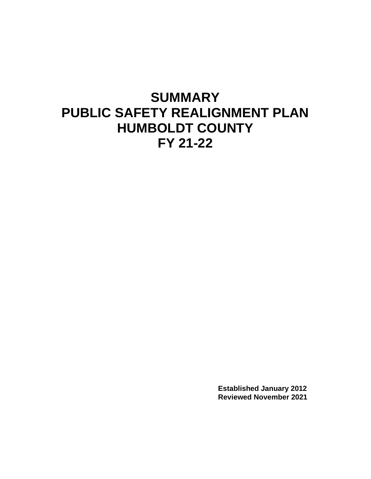# **SUMMARY PUBLIC SAFETY REALIGNMENT PLAN HUMBOLDT COUNTY FY 21-22**

**Established January 2012 Reviewed November 2021**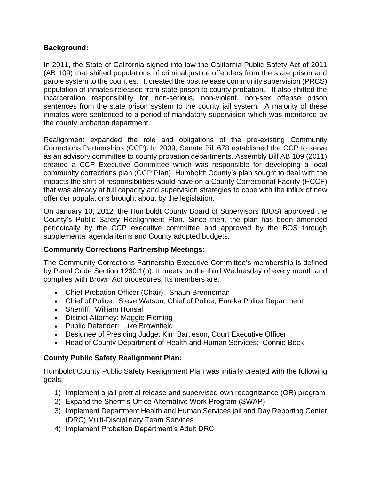#### **Background:**

In 2011, the State of California signed into law the California Public Safety Act of 2011 (AB 109) that shifted populations of criminal justice offenders from the state prison and parole system to the counties. It created the post release community supervision (PRCS) population of inmates released from state prison to county probation. It also shifted the incarceration responsibility for non-serious, non-violent, non-sex offense prison sentences from the state prison system to the county jail system. A majority of these inmates were sentenced to a period of mandatory supervision which was monitored by the county probation department.

Realignment expanded the role and obligations of the pre-existing Community Corrections Partnerships (CCP). In 2009, Senate Bill 678 established the CCP to serve as an advisory committee to county probation departments. Assembly Bill AB 109 (2011) created a CCP Executive Committee which was responsible for developing a local community corrections plan (CCP Plan). Humboldt County's plan sought to deal with the impacts the shift of responsibilities would have on a County Correctional Facility (HCCF) that was already at full capacity and supervision strategies to cope with the influx of new offender populations brought about by the legislation.

On January 10, 2012, the Humboldt County Board of Supervisors (BOS) approved the County's Public Safety Realignment Plan. Since then, the plan has been amended periodically by the CCP executive committee and approved by the BOS through supplemental agenda items and County adopted budgets.

#### **Community Corrections Partnership Meetings:**

The Community Corrections Partnership Executive Committee's membership is defined by Penal Code Section 1230.1(b). It meets on the third Wednesday of every month and complies with Brown Act procedures. Its members are:

- Chief Probation Officer (Chair): Shaun Brenneman
- Chief of Police: Steve Watson, Chief of Police, Eureka Police Department
- Sherriff: William Honsal
- District Attorney: Maggie Fleming
- Public Defender: Luke Brownfield
- Designee of Presiding Judge: Kim Bartleson, Court Executive Officer
- Head of County Department of Health and Human Services: Connie Beck

#### **County Public Safety Realignment Plan:**

Humboldt County Public Safety Realignment Plan was initially created with the following goals:

- 1) Implement a jail pretrial release and supervised own recognizance (OR) program
- 2) Expand the Sheriff's Office Alternative Work Program (SWAP)
- 3) Implement Department Health and Human Services jail and Day Reporting Center (DRC) Multi-Disciplinary Team Services
- 4) Implement Probation Department's Adult DRC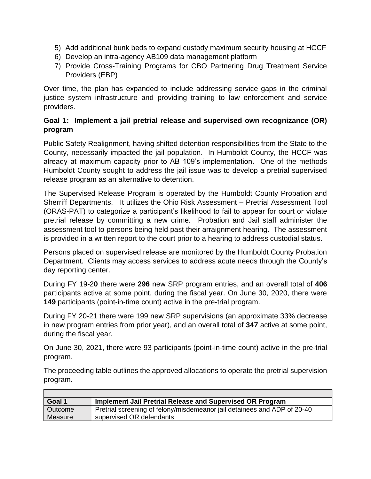- 5) Add additional bunk beds to expand custody maximum security housing at HCCF
- 6) Develop an intra-agency AB109 data management platform
- 7) Provide Cross-Training Programs for CBO Partnering Drug Treatment Service Providers (EBP)

Over time, the plan has expanded to include addressing service gaps in the criminal justice system infrastructure and providing training to law enforcement and service providers.

#### **Goal 1: Implement a jail pretrial release and supervised own recognizance (OR) program**

Public Safety Realignment, having shifted detention responsibilities from the State to the County, necessarily impacted the jail population. In Humboldt County, the HCCF was already at maximum capacity prior to AB 109's implementation. One of the methods Humboldt County sought to address the jail issue was to develop a pretrial supervised release program as an alternative to detention.

The Supervised Release Program is operated by the Humboldt County Probation and Sherriff Departments. It utilizes the Ohio Risk Assessment – Pretrial Assessment Tool (ORAS-PAT) to categorize a participant's likelihood to fail to appear for court or violate pretrial release by committing a new crime. Probation and Jail staff administer the assessment tool to persons being held past their arraignment hearing. The assessment is provided in a written report to the court prior to a hearing to address custodial status.

Persons placed on supervised release are monitored by the Humboldt County Probation Department. Clients may access services to address acute needs through the County's day reporting center.

During FY 19-2**0** there were **296** new SRP program entries, and an overall total of **406**  participants active at some point, during the fiscal year. On June 30, 2020, there were **149** participants (point-in-time count) active in the pre-trial program.

During FY 20-21 there were 199 new SRP supervisions (an approximate 33% decrease in new program entries from prior year), and an overall total of **347** active at some point, during the fiscal year.

On June 30, 2021, there were 93 participants (point-in-time count) active in the pre-trial program.

The proceeding table outlines the approved allocations to operate the pretrial supervision program.

| Goal 1  | Implement Jail Pretrial Release and Supervised OR Program                |
|---------|--------------------------------------------------------------------------|
| Outcome | Pretrial screening of felony/misdemeanor jail detainees and ADP of 20-40 |
| Measure | supervised OR defendants                                                 |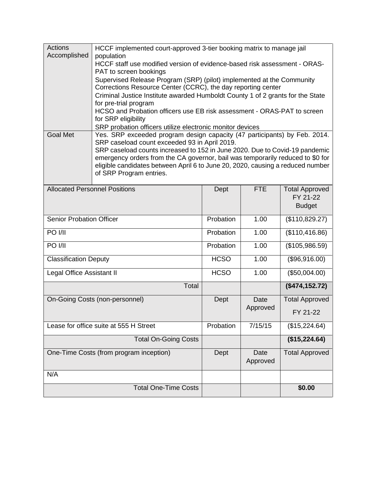| <b>Actions</b><br>Accomplished          | HCCF implemented court-approved 3-tier booking matrix to manage jail                                                                                             |             |                  |                       |  |
|-----------------------------------------|------------------------------------------------------------------------------------------------------------------------------------------------------------------|-------------|------------------|-----------------------|--|
|                                         | population<br>HCCF staff use modified version of evidence-based risk assessment - ORAS-                                                                          |             |                  |                       |  |
|                                         | PAT to screen bookings                                                                                                                                           |             |                  |                       |  |
|                                         | Supervised Release Program (SRP) (pilot) implemented at the Community<br>Corrections Resource Center (CCRC), the day reporting center                            |             |                  |                       |  |
|                                         | Criminal Justice Institute awarded Humboldt County 1 of 2 grants for the State                                                                                   |             |                  |                       |  |
|                                         | for pre-trial program<br>HCSO and Probation officers use EB risk assessment - ORAS-PAT to screen                                                                 |             |                  |                       |  |
|                                         | for SRP eligibility                                                                                                                                              |             |                  |                       |  |
| <b>Goal Met</b>                         | SRP probation officers utilize electronic monitor devices                                                                                                        |             |                  |                       |  |
|                                         | Yes. SRP exceeded program design capacity (47 participants) by Feb. 2014.<br>SRP caseload count exceeded 93 in April 2019.                                       |             |                  |                       |  |
|                                         | SRP caseload counts increased to 152 in June 2020. Due to Covid-19 pandemic                                                                                      |             |                  |                       |  |
|                                         | emergency orders from the CA governor, bail was temporarily reduced to \$0 for<br>eligible candidates between April 6 to June 20, 2020, causing a reduced number |             |                  |                       |  |
|                                         | of SRP Program entries.                                                                                                                                          |             |                  |                       |  |
| <b>Allocated Personnel Positions</b>    |                                                                                                                                                                  | Dept        | <b>FTE</b>       | <b>Total Approved</b> |  |
|                                         |                                                                                                                                                                  |             |                  | FY 21-22              |  |
|                                         |                                                                                                                                                                  |             |                  | <b>Budget</b>         |  |
| <b>Senior Probation Officer</b>         |                                                                                                                                                                  | Probation   | 1.00             | (\$110,829.27)        |  |
| PO I/II                                 |                                                                                                                                                                  | Probation   | 1.00             | (\$110,416.86)        |  |
| PO I/II                                 |                                                                                                                                                                  | Probation   | 1.00             | (\$105,986.59)        |  |
| <b>Classification Deputy</b>            |                                                                                                                                                                  | <b>HCSO</b> | 1.00             | (\$96,916.00)         |  |
| Legal Office Assistant II               |                                                                                                                                                                  | <b>HCSO</b> | 1.00             | (\$50,004.00)         |  |
|                                         | Total                                                                                                                                                            |             |                  | (\$474, 152.72)       |  |
|                                         | On-Going Costs (non-personnel)                                                                                                                                   | Dept        | Date             | <b>Total Approved</b> |  |
|                                         |                                                                                                                                                                  |             | Approved         | FY 21-22              |  |
| Lease for office suite at 555 H Street  |                                                                                                                                                                  | Probation   | 7/15/15          | (\$15,224.64)         |  |
|                                         | <b>Total On-Going Costs</b>                                                                                                                                      |             |                  | (\$15,224.64)         |  |
| One-Time Costs (from program inception) |                                                                                                                                                                  | Dept        | Date<br>Approved | <b>Total Approved</b> |  |
| N/A                                     |                                                                                                                                                                  |             |                  |                       |  |
|                                         | <b>Total One-Time Costs</b>                                                                                                                                      |             |                  | \$0.00                |  |
|                                         |                                                                                                                                                                  |             |                  |                       |  |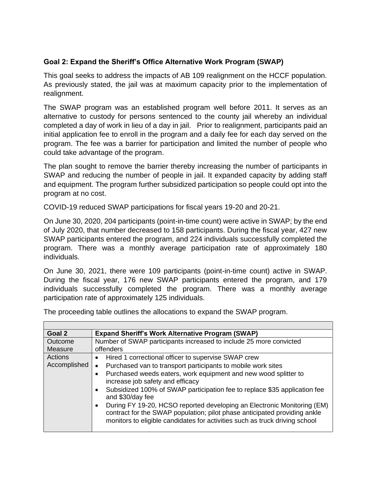## **Goal 2: Expand the Sheriff's Office Alternative Work Program (SWAP)**

This goal seeks to address the impacts of AB 109 realignment on the HCCF population. As previously stated, the jail was at maximum capacity prior to the implementation of realignment.

The SWAP program was an established program well before 2011. It serves as an alternative to custody for persons sentenced to the county jail whereby an individual completed a day of work in lieu of a day in jail. Prior to realignment, participants paid an initial application fee to enroll in the program and a daily fee for each day served on the program. The fee was a barrier for participation and limited the number of people who could take advantage of the program.

The plan sought to remove the barrier thereby increasing the number of participants in SWAP and reducing the number of people in jail. It expanded capacity by adding staff and equipment. The program further subsidized participation so people could opt into the program at no cost.

COVID-19 reduced SWAP participations for fiscal years 19-20 and 20-21.

On June 30, 2020, 204 participants (point-in-time count) were active in SWAP; by the end of July 2020, that number decreased to 158 participants. During the fiscal year, 427 new SWAP participants entered the program, and 224 individuals successfully completed the program. There was a monthly average participation rate of approximately 180 individuals.

On June 30, 2021, there were 109 participants (point-in-time count) active in SWAP. During the fiscal year, 176 new SWAP participants entered the program, and 179 individuals successfully completed the program. There was a monthly average participation rate of approximately 125 individuals.

| Goal 2             | <b>Expand Sheriff's Work Alternative Program (SWAP)</b>                                                                                                                                                                                          |
|--------------------|--------------------------------------------------------------------------------------------------------------------------------------------------------------------------------------------------------------------------------------------------|
| Outcome<br>Measure | Number of SWAP participants increased to include 25 more convicted<br>offenders                                                                                                                                                                  |
| Actions            | Hired 1 correctional officer to supervise SWAP crew<br>$\bullet$                                                                                                                                                                                 |
| Accomplished       | Purchased van to transport participants to mobile work sites                                                                                                                                                                                     |
|                    | Purchased weeds eaters, work equipment and new wood splitter to<br>increase job safety and efficacy                                                                                                                                              |
|                    | Subsidized 100% of SWAP participation fee to replace \$35 application fee<br>$\bullet$<br>and \$30/day fee                                                                                                                                       |
|                    | During FY 19-20, HCSO reported developing an Electronic Monitoring (EM)<br>$\bullet$<br>contract for the SWAP population; pilot phase anticipated providing ankle<br>monitors to eligible candidates for activities such as truck driving school |

The proceeding table outlines the allocations to expand the SWAP program.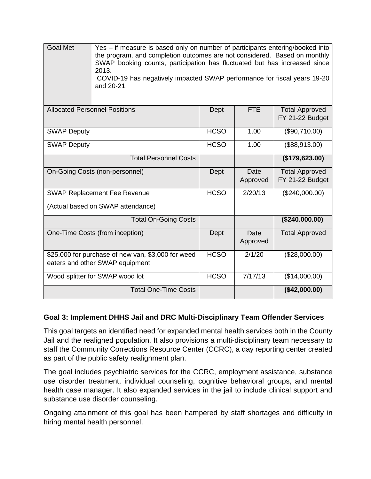Goal Met Yes – if measure is based only on number of participants entering/booked into the program, and completion outcomes are not considered. Based on monthly SWAP booking counts, participation has fluctuated but has increased since 2013. COVID-19 has negatively impacted SWAP performance for fiscal years 19-20 and 20-21. Allocated Personnel Positions **Dept | FTE | Total Approved** FY 21-22 Budget SWAP Deputy 1.00 (\$90,710.00) SWAP Deputy Resource Resource Resource Resource Resource Resource Resource Resource Resource Resource Resource Total Personnel Costs **(\$179,623.00)** On-Going Costs (non-personnel) Dept Date Approved Total Approved FY 21-22 Budget SWAP Replacement Fee Revenue (Actual based on SWAP attendance) HCSO 2/20/13 (\$240,000.00) Total On-Going Costs **(\$240.000.00)** One-Time Costs (from inception) and Dept Date Approved Total Approved \$25,000 for purchase of new van, \$3,000 for weed eaters and other SWAP equipment HCSO 2/1/20 (\$28,000.00) Wood splitter for SWAP wood lot <br>
HCSO | 7/17/13 | (\$14,000.00) Total One-Time Costs **(\$42,000.00)**

#### **Goal 3: Implement DHHS Jail and DRC Multi-Disciplinary Team Offender Services**

This goal targets an identified need for expanded mental health services both in the County Jail and the realigned population. It also provisions a multi-disciplinary team necessary to staff the Community Corrections Resource Center (CCRC), a day reporting center created as part of the public safety realignment plan.

The goal includes psychiatric services for the CCRC, employment assistance, substance use disorder treatment, individual counseling, cognitive behavioral groups, and mental health case manager. It also expanded services in the jail to include clinical support and substance use disorder counseling.

Ongoing attainment of this goal has been hampered by staff shortages and difficulty in hiring mental health personnel.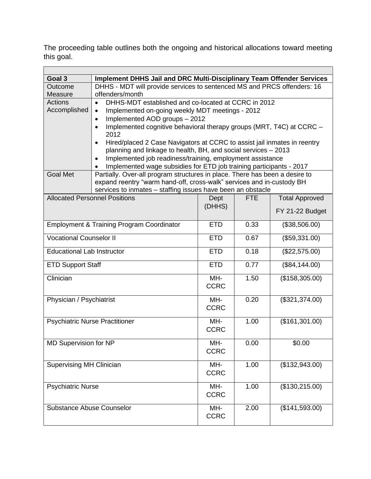The proceeding table outlines both the ongoing and historical allocations toward meeting this goal.

 $\overline{\phantom{0}}$ 

| Goal 3<br>Implement DHHS Jail and DRC Multi-Disciplinary Team Offender Services<br>DHHS - MDT will provide services to sentenced MS and PRCS offenders: 16<br>Outcome<br>offenders/month<br>Measure<br>Actions<br>DHHS-MDT established and co-located at CCRC in 2012<br>$\bullet$<br>Accomplished<br>Implemented on-going weekly MDT meetings - 2012<br>$\bullet$<br>Implemented AOD groups - 2012<br>Implemented cognitive behavioral therapy groups (MRT, T4C) at CCRC -<br>2012<br>Hired/placed 2 Case Navigators at CCRC to assist jail inmates in reentry |  |  |  |  |
|-----------------------------------------------------------------------------------------------------------------------------------------------------------------------------------------------------------------------------------------------------------------------------------------------------------------------------------------------------------------------------------------------------------------------------------------------------------------------------------------------------------------------------------------------------------------|--|--|--|--|
|                                                                                                                                                                                                                                                                                                                                                                                                                                                                                                                                                                 |  |  |  |  |
|                                                                                                                                                                                                                                                                                                                                                                                                                                                                                                                                                                 |  |  |  |  |
|                                                                                                                                                                                                                                                                                                                                                                                                                                                                                                                                                                 |  |  |  |  |
|                                                                                                                                                                                                                                                                                                                                                                                                                                                                                                                                                                 |  |  |  |  |
|                                                                                                                                                                                                                                                                                                                                                                                                                                                                                                                                                                 |  |  |  |  |
|                                                                                                                                                                                                                                                                                                                                                                                                                                                                                                                                                                 |  |  |  |  |
|                                                                                                                                                                                                                                                                                                                                                                                                                                                                                                                                                                 |  |  |  |  |
|                                                                                                                                                                                                                                                                                                                                                                                                                                                                                                                                                                 |  |  |  |  |
|                                                                                                                                                                                                                                                                                                                                                                                                                                                                                                                                                                 |  |  |  |  |
| planning and linkage to health, BH, and social services - 2013                                                                                                                                                                                                                                                                                                                                                                                                                                                                                                  |  |  |  |  |
| Implemented job readiness/training, employment assistance                                                                                                                                                                                                                                                                                                                                                                                                                                                                                                       |  |  |  |  |
| Implemented wage subsidies for ETD job training participants - 2017                                                                                                                                                                                                                                                                                                                                                                                                                                                                                             |  |  |  |  |
| <b>Goal Met</b><br>Partially. Over-all program structures in place. There has been a desire to                                                                                                                                                                                                                                                                                                                                                                                                                                                                  |  |  |  |  |
| expand reentry "warm hand-off, cross-walk" services and in-custody BH                                                                                                                                                                                                                                                                                                                                                                                                                                                                                           |  |  |  |  |
| services to inmates - staffing issues have been an obstacle                                                                                                                                                                                                                                                                                                                                                                                                                                                                                                     |  |  |  |  |
| <b>Allocated Personnel Positions</b><br><b>Total Approved</b><br><b>FTE</b><br>Dept                                                                                                                                                                                                                                                                                                                                                                                                                                                                             |  |  |  |  |
| (DHHS)<br>FY 21-22 Budget                                                                                                                                                                                                                                                                                                                                                                                                                                                                                                                                       |  |  |  |  |
|                                                                                                                                                                                                                                                                                                                                                                                                                                                                                                                                                                 |  |  |  |  |
| <b>Employment &amp; Training Program Coordinator</b><br>0.33<br><b>ETD</b><br>(\$38,506.00)                                                                                                                                                                                                                                                                                                                                                                                                                                                                     |  |  |  |  |
| <b>Vocational Counselor II</b><br>(\$59,331.00)<br><b>ETD</b><br>0.67                                                                                                                                                                                                                                                                                                                                                                                                                                                                                           |  |  |  |  |
| 0.18<br><b>ETD</b><br><b>Educational Lab Instructor</b><br>(\$22,575.00)                                                                                                                                                                                                                                                                                                                                                                                                                                                                                        |  |  |  |  |
| <b>ETD</b><br>0.77<br><b>ETD Support Staff</b><br>(\$84,144.00)                                                                                                                                                                                                                                                                                                                                                                                                                                                                                                 |  |  |  |  |
| Clinician<br>1.50<br>MH-<br>(\$158,305.00)                                                                                                                                                                                                                                                                                                                                                                                                                                                                                                                      |  |  |  |  |
| <b>CCRC</b>                                                                                                                                                                                                                                                                                                                                                                                                                                                                                                                                                     |  |  |  |  |
|                                                                                                                                                                                                                                                                                                                                                                                                                                                                                                                                                                 |  |  |  |  |
| MH-<br>0.20<br>(\$321,374.00)<br>Physician / Psychiatrist                                                                                                                                                                                                                                                                                                                                                                                                                                                                                                       |  |  |  |  |
| <b>CCRC</b>                                                                                                                                                                                                                                                                                                                                                                                                                                                                                                                                                     |  |  |  |  |
| (\$161,301.00)<br><b>Psychiatric Nurse Practitioner</b><br>1.00<br>MH-                                                                                                                                                                                                                                                                                                                                                                                                                                                                                          |  |  |  |  |
| <b>CCRC</b>                                                                                                                                                                                                                                                                                                                                                                                                                                                                                                                                                     |  |  |  |  |
|                                                                                                                                                                                                                                                                                                                                                                                                                                                                                                                                                                 |  |  |  |  |
| MD Supervision for NP<br>MH-<br>0.00<br>\$0.00                                                                                                                                                                                                                                                                                                                                                                                                                                                                                                                  |  |  |  |  |
| <b>CCRC</b>                                                                                                                                                                                                                                                                                                                                                                                                                                                                                                                                                     |  |  |  |  |
|                                                                                                                                                                                                                                                                                                                                                                                                                                                                                                                                                                 |  |  |  |  |
| <b>Supervising MH Clinician</b><br>(\$132,943.00)<br>1.00<br>MH-                                                                                                                                                                                                                                                                                                                                                                                                                                                                                                |  |  |  |  |
| <b>CCRC</b>                                                                                                                                                                                                                                                                                                                                                                                                                                                                                                                                                     |  |  |  |  |
| (\$130,215.00)<br><b>Psychiatric Nurse</b><br>MH-<br>1.00                                                                                                                                                                                                                                                                                                                                                                                                                                                                                                       |  |  |  |  |
| <b>CCRC</b>                                                                                                                                                                                                                                                                                                                                                                                                                                                                                                                                                     |  |  |  |  |
|                                                                                                                                                                                                                                                                                                                                                                                                                                                                                                                                                                 |  |  |  |  |
| 2.00<br>(\$141,593.00)<br><b>Substance Abuse Counselor</b><br>MH-                                                                                                                                                                                                                                                                                                                                                                                                                                                                                               |  |  |  |  |
| <b>CCRC</b>                                                                                                                                                                                                                                                                                                                                                                                                                                                                                                                                                     |  |  |  |  |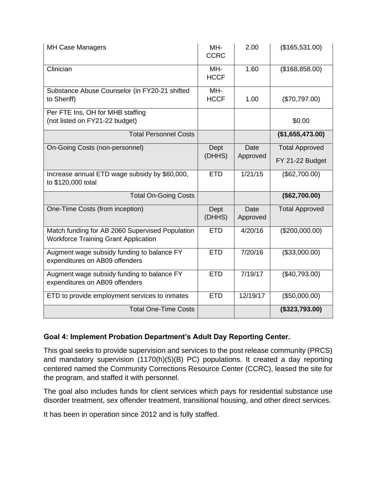| <b>MH Case Managers</b>                                                                        | MH-<br><b>CCRC</b> | 2.00             | (\$165,531.00)                           |
|------------------------------------------------------------------------------------------------|--------------------|------------------|------------------------------------------|
| Clinician                                                                                      | MH-<br><b>HCCF</b> | 1.60             | (\$168,858.00)                           |
| Substance Abuse Counselor (in FY20-21 shifted<br>to Sheriff)                                   | MH-<br><b>HCCF</b> | 1.00             | (\$70,797.00)                            |
| Per FTE Ins, OH for MHB staffing<br>(not listed on FY21-22 budget)                             |                    |                  | \$0.00                                   |
| <b>Total Personnel Costs</b>                                                                   |                    |                  | (\$1,655,473.00)                         |
| On-Going Costs (non-personnel)                                                                 | Dept<br>(DHHS)     | Date<br>Approved | <b>Total Approved</b><br>FY 21-22 Budget |
| Increase annual ETD wage subsidy by \$60,000,<br>to \$120,000 total                            | <b>ETD</b>         | 1/21/15          | (\$62,700.00)                            |
| <b>Total On-Going Costs</b>                                                                    |                    |                  | (\$62,700.00)                            |
| One-Time Costs (from inception)                                                                | Dept<br>(DHHS)     | Date<br>Approved | <b>Total Approved</b>                    |
| Match funding for AB 2060 Supervised Population<br><b>Workforce Training Grant Application</b> | <b>ETD</b>         | 4/20/16          | (\$200,000.00)                           |
| Augment wage subsidy funding to balance FY<br>expenditures on AB09 offenders                   | <b>ETD</b>         | 7/20/16          | (\$33,000.00)                            |
| Augment wage subsidy funding to balance FY<br>expenditures on AB09 offenders                   | <b>ETD</b>         | 7/19/17          | (\$40,793.00)                            |
| ETD to provide employment services to inmates                                                  | <b>ETD</b>         | 12/19/17         | (\$50,000.00)                            |
| <b>Total One-Time Costs</b>                                                                    |                    |                  | (\$323,793.00)                           |

#### **Goal 4: Implement Probation Department's Adult Day Reporting Center.**

This goal seeks to provide supervision and services to the post release community (PRCS) and mandatory supervision (1170(h)(5)(B) PC) populations. It created a day reporting centered named the Community Corrections Resource Center (CCRC), leased the site for the program, and staffed it with personnel.

The goal also includes funds for client services which pays for residential substance use disorder treatment, sex offender treatment, transitional housing, and other direct services.

It has been in operation since 2012 and is fully staffed.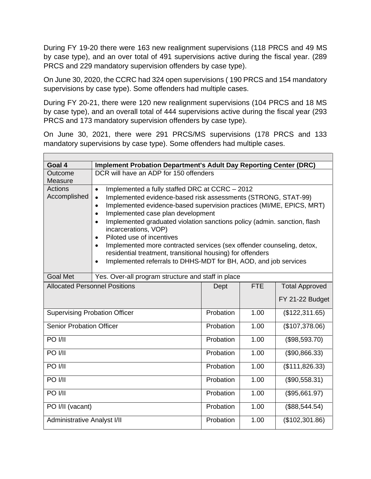During FY 19-20 there were 163 new realignment supervisions (118 PRCS and 49 MS by case type), and an over total of 491 supervisions active during the fiscal year. (289 PRCS and 229 mandatory supervision offenders by case type).

On June 30, 2020, the CCRC had 324 open supervisions ( 190 PRCS and 154 mandatory supervisions by case type). Some offenders had multiple cases.

During FY 20-21, there were 120 new realignment supervisions (104 PRCS and 18 MS by case type), and an overall total of 444 supervisions active during the fiscal year (293 PRCS and 173 mandatory supervision offenders by case type).

On June 30, 2021, there were 291 PRCS/MS supervisions (178 PRCS and 133 mandatory supervisions by case type). Some offenders had multiple cases.

 $\blacksquare$ 

| Goal 4                                                  | <b>Implement Probation Department's Adult Day Reporting Center (DRC)</b>              |           |                |                       |  |
|---------------------------------------------------------|---------------------------------------------------------------------------------------|-----------|----------------|-----------------------|--|
| Outcome                                                 | DCR will have an ADP for 150 offenders                                                |           |                |                       |  |
| Measure                                                 |                                                                                       |           |                |                       |  |
| Actions                                                 | Implemented a fully staffed DRC at CCRC - 2012<br>$\bullet$                           |           |                |                       |  |
| Accomplished                                            | Implemented evidence-based risk assessments (STRONG, STAT-99)<br>$\bullet$            |           |                |                       |  |
|                                                         | Implemented evidence-based supervision practices (MI/ME, EPICS, MRT)                  |           |                |                       |  |
|                                                         | Implemented case plan development<br>$\bullet$                                        |           |                |                       |  |
|                                                         | Implemented graduated violation sanctions policy (admin. sanction, flash<br>$\bullet$ |           |                |                       |  |
|                                                         | incarcerations, VOP)                                                                  |           |                |                       |  |
|                                                         | Piloted use of incentives<br>$\bullet$                                                |           |                |                       |  |
|                                                         | Implemented more contracted services (sex offender counseling, detox,                 |           |                |                       |  |
|                                                         | residential treatment, transitional housing) for offenders                            |           |                |                       |  |
|                                                         | Implemented referrals to DHHS-MDT for BH, AOD, and job services<br>$\bullet$          |           |                |                       |  |
|                                                         |                                                                                       |           |                |                       |  |
| <b>Goal Met</b>                                         | Yes. Over-all program structure and staff in place                                    |           |                |                       |  |
| <b>Allocated Personnel Positions</b><br>Dept            |                                                                                       |           | <b>FTE</b>     | <b>Total Approved</b> |  |
|                                                         |                                                                                       |           |                | FY 21-22 Budget       |  |
| <b>Supervising Probation Officer</b>                    |                                                                                       | Probation | 1.00           | (\$122,311.65)        |  |
| <b>Senior Probation Officer</b>                         |                                                                                       | Probation | 1.00           | (\$107,378.06)        |  |
| PO I/II                                                 |                                                                                       | Probation | 1.00           | (\$98,593.70)         |  |
| PO I/II                                                 |                                                                                       | Probation | 1.00           | (\$90,866.33)         |  |
| <b>PO I/II</b>                                          | Probation                                                                             | 1.00      | (\$111,826.33) |                       |  |
| PO I/II                                                 |                                                                                       | Probation | 1.00           | (\$90,558.31)         |  |
| <b>PO I/II</b>                                          |                                                                                       | Probation | 1.00           | (\$95,661.97)         |  |
| PO I/II (vacant)                                        |                                                                                       | Probation | 1.00           | (\$88,544.54)         |  |
| <b>Administrative Analyst I/II</b><br>Probation<br>1.00 |                                                                                       |           | (\$102,301.86) |                       |  |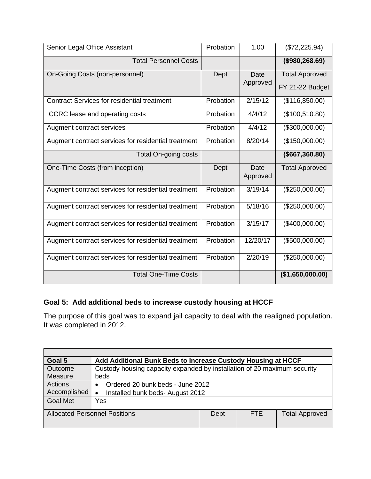| Senior Legal Office Assistant                       | Probation | 1.00        | (\$72,225.94)         |
|-----------------------------------------------------|-----------|-------------|-----------------------|
| <b>Total Personnel Costs</b>                        |           |             | (\$980, 268.69)       |
| On-Going Costs (non-personnel)                      | Dept      | <b>Date</b> | <b>Total Approved</b> |
|                                                     |           | Approved    | FY 21-22 Budget       |
| <b>Contract Services for residential treatment</b>  | Probation | 2/15/12     | (\$116,850.00)        |
| CCRC lease and operating costs                      | Probation | 4/4/12      | (\$100,510.80)        |
| Augment contract services                           | Probation | 4/4/12      | (\$300,000.00)        |
| Augment contract services for residential treatment | Probation | 8/20/14     | (\$150,000.00)        |
| Total On-going costs                                |           |             | (\$667,360.80)        |
| One-Time Costs (from inception)                     | Dept      | Date        | <b>Total Approved</b> |
|                                                     |           | Approved    |                       |
| Augment contract services for residential treatment | Probation | 3/19/14     | (\$250,000.00)        |
| Augment contract services for residential treatment | Probation | 5/18/16     | (\$250,000.00)        |
| Augment contract services for residential treatment | Probation | 3/15/17     | (\$400,000.00)        |
| Augment contract services for residential treatment | Probation | 12/20/17    | (\$500,000.00)        |
| Augment contract services for residential treatment | Probation | 2/20/19     | (\$250,000.00)        |
| <b>Total One-Time Costs</b>                         |           |             |                       |

# **Goal 5: Add additional beds to increase custody housing at HCCF**

The purpose of this goal was to expand jail capacity to deal with the realigned population. It was completed in 2012.

| Goal 5                                               |                                               | Add Additional Bunk Beds to Increase Custody Housing at HCCF             |                       |  |  |
|------------------------------------------------------|-----------------------------------------------|--------------------------------------------------------------------------|-----------------------|--|--|
| Outcome                                              |                                               | Custody housing capacity expanded by installation of 20 maximum security |                       |  |  |
| Measure                                              | beds                                          |                                                                          |                       |  |  |
| <b>Actions</b>                                       | Ordered 20 bunk beds - June 2012<br>$\bullet$ |                                                                          |                       |  |  |
| Accomplished                                         | Installed bunk beds- August 2012<br>$\bullet$ |                                                                          |                       |  |  |
| <b>Goal Met</b>                                      | Yes                                           |                                                                          |                       |  |  |
| <b>Allocated Personnel Positions</b><br>FTE.<br>Dept |                                               |                                                                          | <b>Total Approved</b> |  |  |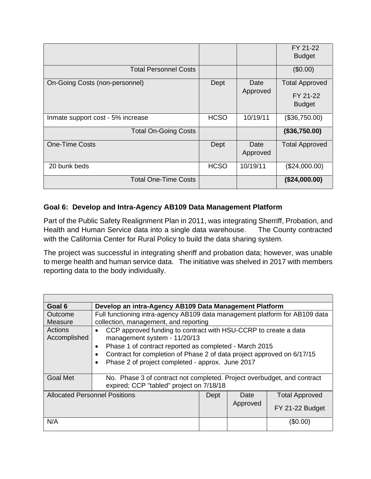|                                   |             |                  | FY 21-22<br><b>Budget</b>                          |
|-----------------------------------|-------------|------------------|----------------------------------------------------|
| <b>Total Personnel Costs</b>      |             |                  | (\$0.00)                                           |
| On-Going Costs (non-personnel)    | Dept        | Date<br>Approved | <b>Total Approved</b><br>FY 21-22<br><b>Budget</b> |
| Inmate support cost - 5% increase | <b>HCSO</b> | 10/19/11         | (\$36,750.00)                                      |
| <b>Total On-Going Costs</b>       |             |                  | (\$36,750.00)                                      |
| <b>One-Time Costs</b>             | Dept        | Date<br>Approved | <b>Total Approved</b>                              |
| 20 bunk beds                      | <b>HCSO</b> | 10/19/11         | (\$24,000.00)                                      |
| <b>Total One-Time Costs</b>       |             |                  | (\$24,000.00)                                      |

## **Goal 6: Develop and Intra-Agency AB109 Data Management Platform**

Part of the Public Safety Realignment Plan in 2011, was integrating Sherriff, Probation, and Health and Human Service data into a single data warehouse. The County contracted with the California Center for Rural Policy to build the data sharing system.

The project was successful in integrating sheriff and probation data; however, was unable to merge health and human service data. The initiative was shelved in 2017 with members reporting data to the body individually.

| Goal 6                                       | Develop an intra-Agency AB109 Data Management Platform                                                                                                                                                                                                                                                                                      |  |                  |                                          |
|----------------------------------------------|---------------------------------------------------------------------------------------------------------------------------------------------------------------------------------------------------------------------------------------------------------------------------------------------------------------------------------------------|--|------------------|------------------------------------------|
| Outcome                                      | Full functioning intra-agency AB109 data management platform for AB109 data                                                                                                                                                                                                                                                                 |  |                  |                                          |
| Measure                                      | collection, management, and reporting                                                                                                                                                                                                                                                                                                       |  |                  |                                          |
| Actions<br>Accomplished                      | CCP approved funding to contract with HSU-CCRP to create a data<br>$\bullet$<br>management system - 11/20/13<br>Phase 1 of contract reported as completed - March 2015<br>$\bullet$<br>Contract for completion of Phase 2 of data project approved on 6/17/15<br>$\bullet$<br>Phase 2 of project completed - approx. June 2017<br>$\bullet$ |  |                  |                                          |
| <b>Goal Met</b>                              | No. Phase 3 of contract not completed. Project overbudget, and contract<br>expired; CCP "tabled" project on 7/18/18                                                                                                                                                                                                                         |  |                  |                                          |
| <b>Allocated Personnel Positions</b><br>Dept |                                                                                                                                                                                                                                                                                                                                             |  | Date<br>Approved | <b>Total Approved</b><br>FY 21-22 Budget |
| N/A                                          |                                                                                                                                                                                                                                                                                                                                             |  |                  | (\$0.00)                                 |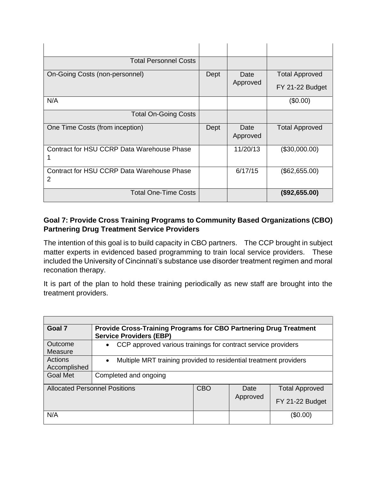| <b>Total Personnel Costs</b>                    |      |                  |                       |
|-------------------------------------------------|------|------------------|-----------------------|
| On-Going Costs (non-personnel)                  | Dept | Date<br>Approved | <b>Total Approved</b> |
|                                                 |      |                  | FY 21-22 Budget       |
| N/A                                             |      |                  | (\$0.00)              |
| <b>Total On-Going Costs</b>                     |      |                  |                       |
| One Time Costs (from inception)                 | Dept | Date<br>Approved | <b>Total Approved</b> |
| Contract for HSU CCRP Data Warehouse Phase      |      | 11/20/13         | (\$30,000.00)         |
| Contract for HSU CCRP Data Warehouse Phase<br>2 |      | 6/17/15          | (\$62,655.00)         |
| <b>Total One-Time Costs</b>                     |      |                  | (\$92,655.00)         |

# **Goal 7: Provide Cross Training Programs to Community Based Organizations (CBO) Partnering Drug Treatment Service Providers**

The intention of this goal is to build capacity in CBO partners. The CCP brought in subject matter experts in evidenced based programming to train local service providers. These included the University of Cincinnati's substance use disorder treatment regimen and moral reconation therapy.

It is part of the plan to hold these training periodically as new staff are brought into the treatment providers.

| Goal 7                               | <b>Provide Cross-Training Programs for CBO Partnering Drug Treatment</b><br><b>Service Providers (EBP)</b> |            |          |                       |  |
|--------------------------------------|------------------------------------------------------------------------------------------------------------|------------|----------|-----------------------|--|
| Outcome<br>Measure                   | CCP approved various trainings for contract service providers<br>$\bullet$                                 |            |          |                       |  |
| Actions<br>Accomplished              | Multiple MRT training provided to residential treatment providers<br>$\bullet$                             |            |          |                       |  |
| <b>Goal Met</b>                      | Completed and ongoing                                                                                      |            |          |                       |  |
| <b>Allocated Personnel Positions</b> |                                                                                                            | <b>CBO</b> | Date     | <b>Total Approved</b> |  |
|                                      |                                                                                                            |            | Approved | FY 21-22 Budget       |  |
| N/A                                  |                                                                                                            |            |          | (\$0.00)              |  |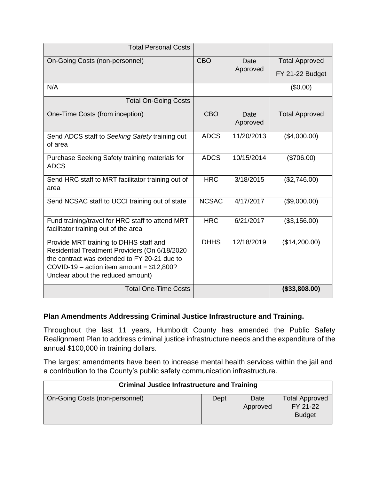| <b>Total Personal Costs</b>                                                                                                                                                                                                |              |                  |                       |
|----------------------------------------------------------------------------------------------------------------------------------------------------------------------------------------------------------------------------|--------------|------------------|-----------------------|
| On-Going Costs (non-personnel)                                                                                                                                                                                             | <b>CBO</b>   | Date             | <b>Total Approved</b> |
|                                                                                                                                                                                                                            |              | Approved         | FY 21-22 Budget       |
| N/A                                                                                                                                                                                                                        |              |                  | (\$0.00)              |
| <b>Total On-Going Costs</b>                                                                                                                                                                                                |              |                  |                       |
| One-Time Costs (from inception)                                                                                                                                                                                            | <b>CBO</b>   | Date<br>Approved | <b>Total Approved</b> |
| Send ADCS staff to Seeking Safety training out<br>of area                                                                                                                                                                  | <b>ADCS</b>  | 11/20/2013       | (\$4,000.00)          |
| Purchase Seeking Safety training materials for<br><b>ADCS</b>                                                                                                                                                              | <b>ADCS</b>  | 10/15/2014       | (\$706.00)            |
| Send HRC staff to MRT facilitator training out of<br>area                                                                                                                                                                  | <b>HRC</b>   | 3/18/2015        | (\$2,746.00)          |
| Send NCSAC staff to UCCI training out of state                                                                                                                                                                             | <b>NCSAC</b> | 4/17/2017        | (\$9,000.00)          |
| Fund training/travel for HRC staff to attend MRT<br>facilitator training out of the area                                                                                                                                   | <b>HRC</b>   | 6/21/2017        | (\$3,156.00)          |
| Provide MRT training to DHHS staff and<br>Residential Treatment Providers (On 6/18/2020<br>the contract was extended to FY 20-21 due to<br>COVID-19 – action item amount = $$12,800?$<br>Unclear about the reduced amount) | <b>DHHS</b>  | 12/18/2019       | (\$14,200.00)         |
| <b>Total One-Time Costs</b>                                                                                                                                                                                                |              |                  | (\$33,808.00)         |

#### **Plan Amendments Addressing Criminal Justice Infrastructure and Training.**

Throughout the last 11 years, Humboldt County has amended the Public Safety Realignment Plan to address criminal justice infrastructure needs and the expenditure of the annual \$100,000 in training dollars.

The largest amendments have been to increase mental health services within the jail and a contribution to the County's public safety communication infrastructure.

| <b>Criminal Justice Infrastructure and Training</b> |      |                  |                                                    |
|-----------------------------------------------------|------|------------------|----------------------------------------------------|
| On-Going Costs (non-personnel)                      | Dept | Date<br>Approved | <b>Total Approved</b><br>FY 21-22<br><b>Budget</b> |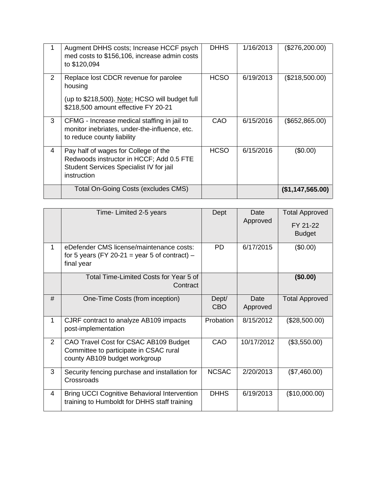|                | Augment DHHS costs; Increase HCCF psych<br>med costs to \$156,106, increase admin costs<br>to \$120,094                                    | <b>DHHS</b> | 1/16/2013 | (\$276,200.00)    |
|----------------|--------------------------------------------------------------------------------------------------------------------------------------------|-------------|-----------|-------------------|
| $\overline{2}$ | Replace lost CDCR revenue for parolee<br>housing<br>(up to \$218,500). Note: HCSO will budget full<br>\$218,500 amount effective FY 20-21  | <b>HCSO</b> | 6/19/2013 | (\$218,500.00)    |
| 3              | CFMG - Increase medical staffing in jail to<br>monitor inebriates, under-the-influence, etc.<br>to reduce county liability                 | CAO         | 6/15/2016 | (\$652, 865.00)   |
| 4              | Pay half of wages for College of the<br>Redwoods instructor in HCCF; Add 0.5 FTE<br>Student Services Specialist IV for jail<br>instruction | <b>HCSO</b> | 6/15/2016 | (\$0.00)          |
|                | Total On-Going Costs (excludes CMS)                                                                                                        |             |           | (S1, 147, 565.00) |

|                | Time- Limited 2-5 years                                                                                          | Dept                | Date<br>Approved | <b>Total Approved</b><br>FY 21-22<br><b>Budget</b> |
|----------------|------------------------------------------------------------------------------------------------------------------|---------------------|------------------|----------------------------------------------------|
| $\mathbf{1}$   | eDefender CMS license/maintenance costs:<br>for 5 years (FY 20-21 = year 5 of contract) $-$<br>final year        | <b>PD</b>           | 6/17/2015        | (\$0.00)                                           |
|                | Total Time-Limited Costs for Year 5 of<br>Contract                                                               |                     |                  | (\$0.00)                                           |
| #              | One-Time Costs (from inception)                                                                                  | Dept/<br><b>CBO</b> | Date<br>Approved | <b>Total Approved</b>                              |
| $\mathbf{1}$   | CJRF contract to analyze AB109 impacts<br>post-implementation                                                    | Probation           | 8/15/2012        | (\$28,500.00)                                      |
| $\overline{2}$ | CAO Travel Cost for CSAC AB109 Budget<br>Committee to participate in CSAC rural<br>county AB109 budget workgroup | CAO                 | 10/17/2012       | (\$3,550.00)                                       |
| 3              | Security fencing purchase and installation for<br>Crossroads                                                     | <b>NCSAC</b>        | 2/20/2013        | (\$7,460.00)                                       |
| 4              | <b>Bring UCCI Cognitive Behavioral Intervention</b><br>training to Humboldt for DHHS staff training              | <b>DHHS</b>         | 6/19/2013        | (\$10,000.00)                                      |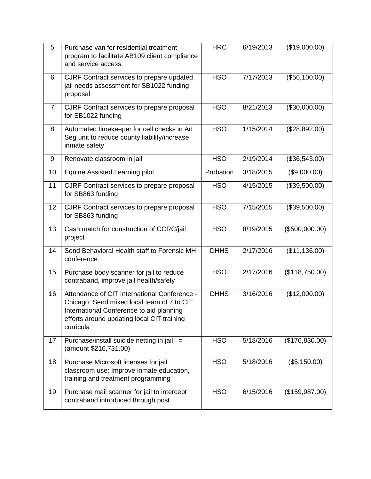| 5              | Purchase van for residential treatment<br>program to facilitate AB109 client compliance<br>and service access                                                                                     | <b>HRC</b>  | 6/19/2013 | (\$19,000.00)  |
|----------------|---------------------------------------------------------------------------------------------------------------------------------------------------------------------------------------------------|-------------|-----------|----------------|
| 6              | CJRF Contract services to prepare updated<br>jail needs assessment for SB1022 funding<br>proposal                                                                                                 | <b>HSO</b>  | 7/17/2013 | (\$56,100.00)  |
| $\overline{7}$ | CJRF Contract services to prepare proposal<br>for SB1022 funding                                                                                                                                  | <b>HSO</b>  | 8/21/2013 | (\$30,000.00)  |
| 8              | Automated timekeeper for cell checks in Ad<br>Seg unit to reduce county liability/increase<br>inmate safety                                                                                       | <b>HSO</b>  | 1/15/2014 | (\$28,892.00)  |
| 9              | Renovate classroom in jail                                                                                                                                                                        | <b>HSO</b>  | 2/19/2014 | (\$36,543.00)  |
| 10             | Equine Assisted Learning pilot                                                                                                                                                                    | Probation   | 3/18/2015 | (\$9,000.00)   |
| 11             | CJRF Contract services to prepare proposal<br>for SB863 funding                                                                                                                                   | <b>HSO</b>  | 4/15/2015 | (\$39,500.00)  |
| 12             | CJRF Contract services to prepare proposal<br>for SB863 funding                                                                                                                                   | <b>HSO</b>  | 7/15/2015 | (\$39,500.00)  |
| 13             | Cash match for construction of CCRC/jail<br>project                                                                                                                                               | <b>HSO</b>  | 8/19/2015 | (\$500,000.00) |
| 14             | Send Behavioral Health staff to Forensic MH<br>conference                                                                                                                                         | <b>DHHS</b> | 2/17/2016 | (\$11,136.00)  |
| 15             | Purchase body scanner for jail to reduce<br>contraband, improve jail health/safety                                                                                                                | <b>HSO</b>  | 2/17/2016 | (\$118,750.00) |
| 16             | Attendance of CIT International Conference -<br>Chicago; Send mixed local team of 7 to CIT<br>International Conference to aid planning<br>efforts around updating local CIT training<br>curricula | <b>DHHS</b> | 3/16/2016 | (\$12,000.00)  |
| 17             | Purchase/install suicide netting in jail =<br>(amount \$216,731.00)                                                                                                                               | <b>HSO</b>  | 5/18/2016 | (\$176,830.00) |
| 18             | Purchase Microsoft licenses for jail<br>classroom use; Improve inmate education,<br>training and treatment programming                                                                            | <b>HSO</b>  | 5/18/2016 | (\$5,150.00)   |
| 19             | Purchase mail scanner for jail to intercept<br>contraband introduced through post                                                                                                                 | <b>HSO</b>  | 6/15/2016 | (\$159,987.00) |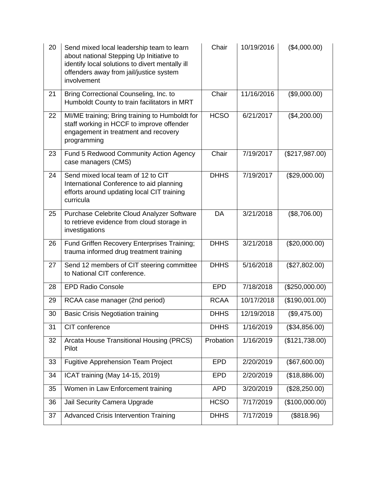| 20 | Send mixed local leadership team to learn<br>about national Stepping Up Initiative to<br>identify local solutions to divert mentally ill<br>offenders away from jail/justice system<br>involvement | Chair       | 10/19/2016 | (\$4,000.00)   |
|----|----------------------------------------------------------------------------------------------------------------------------------------------------------------------------------------------------|-------------|------------|----------------|
| 21 | Bring Correctional Counseling, Inc. to<br>Humboldt County to train facilitators in MRT                                                                                                             | Chair       | 11/16/2016 | (\$9,000.00)   |
| 22 | MI/ME training; Bring training to Humboldt for<br>staff working in HCCF to improve offender<br>engagement in treatment and recovery<br>programming                                                 | <b>HCSO</b> | 6/21/2017  | (\$4,200.00)   |
| 23 | Fund 5 Redwood Community Action Agency<br>case managers (CMS)                                                                                                                                      | Chair       | 7/19/2017  | (\$217,987.00) |
| 24 | Send mixed local team of 12 to CIT<br>International Conference to aid planning<br>efforts around updating local CIT training<br>curricula                                                          | <b>DHHS</b> | 7/19/2017  | (\$29,000.00)  |
| 25 | Purchase Celebrite Cloud Analyzer Software<br>to retrieve evidence from cloud storage in<br>investigations                                                                                         | DA          | 3/21/2018  | (\$8,706.00)   |
| 26 | Fund Griffen Recovery Enterprises Training;<br>trauma informed drug treatment training                                                                                                             | <b>DHHS</b> | 3/21/2018  | (\$20,000.00)  |
| 27 | Send 12 members of CIT steering committee<br>to National CIT conference.                                                                                                                           | <b>DHHS</b> | 5/16/2018  | (\$27,802.00)  |
| 28 | <b>EPD Radio Console</b>                                                                                                                                                                           | <b>EPD</b>  | 7/18/2018  | (\$250,000.00) |
| 29 | RCAA case manager (2nd period)                                                                                                                                                                     | <b>RCAA</b> | 10/17/2018 | (\$190,001.00) |
| 30 | <b>Basic Crisis Negotiation training</b>                                                                                                                                                           | <b>DHHS</b> | 12/19/2018 | (\$9,475.00)   |
| 31 | CIT conference                                                                                                                                                                                     | <b>DHHS</b> | 1/16/2019  | (\$34,856.00)  |
| 32 | Arcata House Transitional Housing (PRCS)<br>Pilot                                                                                                                                                  | Probation   | 1/16/2019  | (\$121,738.00) |
| 33 | <b>Fugitive Apprehension Team Project</b>                                                                                                                                                          | <b>EPD</b>  | 2/20/2019  | (\$67,600.00)  |
| 34 | ICAT training (May 14-15, 2019)                                                                                                                                                                    | <b>EPD</b>  | 2/20/2019  | (\$18,886.00)  |
| 35 | Women in Law Enforcement training                                                                                                                                                                  | <b>APD</b>  | 3/20/2019  | (\$28,250.00)  |
| 36 | Jail Security Camera Upgrade                                                                                                                                                                       | <b>HCSO</b> | 7/17/2019  | (\$100,000.00) |
| 37 | <b>Advanced Crisis Intervention Training</b>                                                                                                                                                       | <b>DHHS</b> | 7/17/2019  | (\$818.96)     |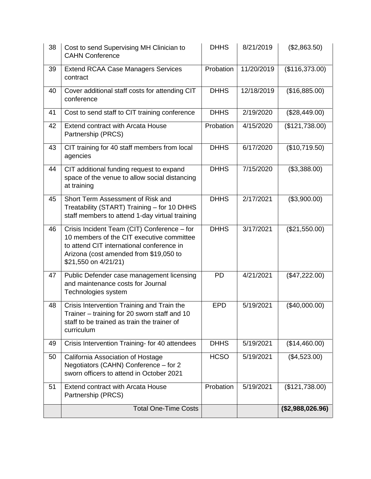| 38 | Cost to send Supervising MH Clinician to<br><b>CAHN Conference</b>                                                                                                                                      | <b>DHHS</b> | 8/21/2019  | (\$2,863.50)     |
|----|---------------------------------------------------------------------------------------------------------------------------------------------------------------------------------------------------------|-------------|------------|------------------|
| 39 | <b>Extend RCAA Case Managers Services</b><br>contract                                                                                                                                                   | Probation   | 11/20/2019 | (\$116,373.00)   |
| 40 | Cover additional staff costs for attending CIT<br>conference                                                                                                                                            | <b>DHHS</b> | 12/18/2019 | (\$16,885.00)    |
| 41 | Cost to send staff to CIT training conference                                                                                                                                                           | <b>DHHS</b> | 2/19/2020  | (\$28,449.00)    |
| 42 | <b>Extend contract with Arcata House</b><br>Partnership (PRCS)                                                                                                                                          | Probation   | 4/15/2020  | (\$121,738.00)   |
| 43 | CIT training for 40 staff members from local<br>agencies                                                                                                                                                | <b>DHHS</b> | 6/17/2020  | (\$10,719.50)    |
| 44 | CIT additional funding request to expand<br>space of the venue to allow social distancing<br>at training                                                                                                | <b>DHHS</b> | 7/15/2020  | (\$3,388.00)     |
| 45 | Short Term Assessment of Risk and<br>Treatability (START) Training - for 10 DHHS<br>staff members to attend 1-day virtual training                                                                      | <b>DHHS</b> | 2/17/2021  | (\$3,900.00)     |
| 46 | Crisis Incident Team (CIT) Conference - for<br>10 members of the CIT executive committee<br>to attend CIT international conference in<br>Arizona (cost amended from \$19,050 to<br>\$21,550 on 4/21/21) | <b>DHHS</b> | 3/17/2021  | (\$21,550.00)    |
| 47 | Public Defender case management licensing<br>and maintenance costs for Journal<br>Technologies system                                                                                                   | <b>PD</b>   | 4/21/2021  | (\$47,222.00)    |
| 48 | Crisis Intervention Training and Train the<br>Trainer - training for 20 sworn staff and 10<br>staff to be trained as train the trainer of<br>curriculum                                                 | <b>EPD</b>  | 5/19/2021  | (\$40,000.00)    |
| 49 | Crisis Intervention Training- for 40 attendees                                                                                                                                                          | <b>DHHS</b> | 5/19/2021  | (\$14,460.00)    |
| 50 | California Association of Hostage<br>Negotiators (CAHN) Conference - for 2<br>sworn officers to attend in October 2021                                                                                  | <b>HCSO</b> | 5/19/2021  | (\$4,523.00)     |
| 51 | <b>Extend contract with Arcata House</b><br>Partnership (PRCS)                                                                                                                                          | Probation   | 5/19/2021  | (\$121,738.00)   |
|    | <b>Total One-Time Costs</b>                                                                                                                                                                             |             |            | (\$2,988,026.96) |